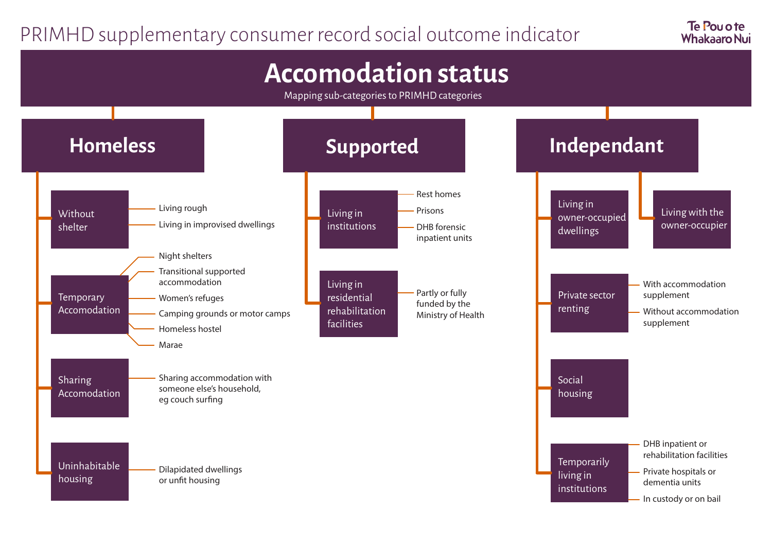## PRIMHD supplementary consumer record social outcome indicator

Te Pou o te **Whakaaro Nui** 

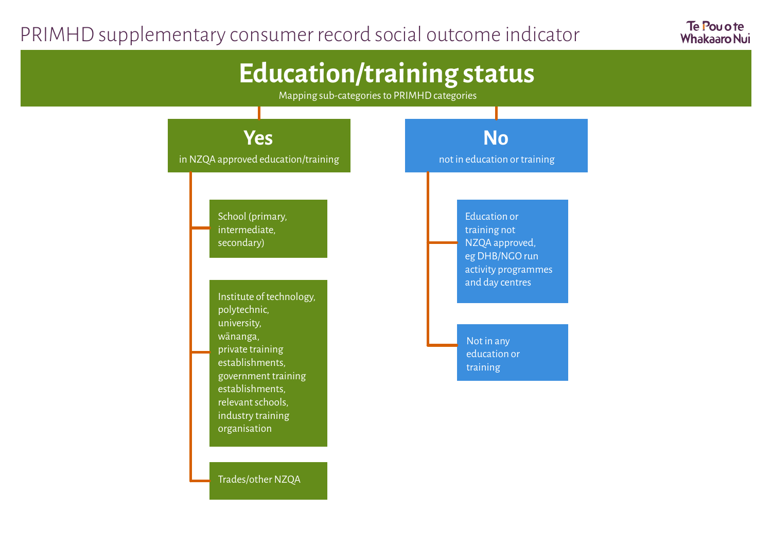## PRIMHD supplementary consumer record social outcome indicator

Te Pou o te **Whakaaro Nui** 

## **Education/training status**

Mapping sub-categories to PRIMHD categories